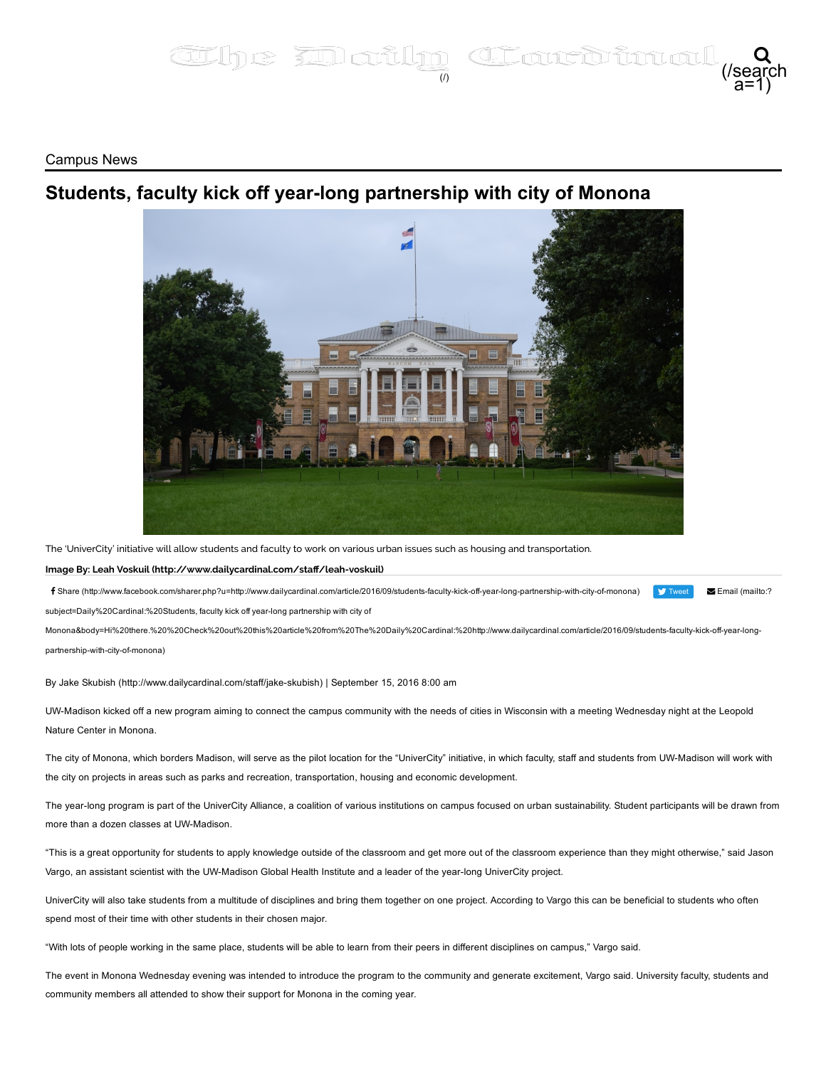## The **Inatly Class** a=1) Q

Campus News

## Students, faculty kick off year-long partnership with city of Monona



The 'UniverCity' initiative will allow students and faculty to work on various urban issues such as housing and transportation.

## Image By: Leah Voskuil (http://www.dailycardinal.com/staff/leah-voskuil)

**V** [Tweet](https://twitter.com/intent/tweet?original_referer=http%3A%2F%2Fwww.dailycardinal.com%2Farticle%2F2016%2F09%2Fstudents-faculty-kick-off-year-long-partnership-with-city-of-monona&ref_src=twsrc%5Etfw&text=Students%2C%20faculty%20kick%20off%20year-long%20partnership%20with%20city%20of%20Monona%20%7C%20The%20Daily%20Cardinal&tw_p=tweetbutton&url=http%3A%2F%2Fwww.dailycardinal.com%2Farticle%2F2016%2F09%2Fstudents-faculty-kick-off-year-long-partnership-with-city-of-monona&via=dailycardinal) f Share (http://www.facebook.com/sharer.php?u=http://www.dailycardinal.com/article/2016/09/students-faculty-kick-off-year-long-partnership-with-city-of-monona)

Email (mailto:?

subject=Daily%20Cardinal:%20Students, faculty kick off yearlong partnership with city of

Monona&body=Hi%20there.%20%20Check%20out%20this%20article%20from%20The%20Daily%20Cardinal:%20http://www.dailycardinal.com/article/2016/09/students-faculty-kick-off-year-longpartnership-with-city-of-monona)

By Jake Skubish (http://www.dailycardinal.com/staff/jake-skubish) | September 15, 2016 8:00 am

UWMadison kicked off a new program aiming to connect the campus community with the needs of cities in Wisconsin with a meeting Wednesday night at the Leopold Nature Center in Monona.

The city of Monona, which borders Madison, will serve as the pilot location for the "UniverCity" initiative, in which faculty, staff and students from UW-Madison will work with the city on projects in areas such as parks and recreation, transportation, housing and economic development.

The year-long program is part of the UniverCity Alliance, a coalition of various institutions on campus focused on urban sustainability. Student participants will be drawn from more than a dozen classes at UW-Madison.

"This is a great opportunity for students to apply knowledge outside of the classroom and get more out of the classroom experience than they might otherwise," said Jason Vargo, an assistant scientist with the UW-Madison Global Health Institute and a leader of the year-long UniverCity project.

UniverCity will also take students from a multitude of disciplines and bring them together on one project. According to Vargo this can be beneficial to students who often spend most of their time with other students in their chosen major.

"With lots of people working in the same place, students will be able to learn from their peers in different disciplines on campus," Vargo said.

The event in Monona Wednesday evening was intended to introduce the program to the community and generate excitement, Vargo said. University faculty, students and community members all attended to show their support for Monona in the coming year.